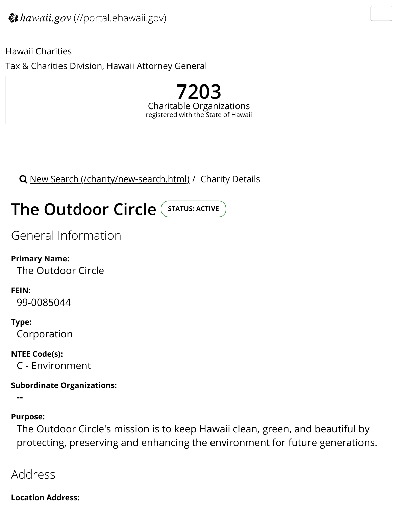**7203** Charitable Organizations registered with the State of Hawaii

Q New Search (/charity/new-search.html) / Charity Details

# **The Outdoor Circle** (STATUS: ACTIVE

Tax & Charities Division, Hawaii Attorney General

Ge[neral Information](https://ag.ehawaii.gov/charity/new-search.html)

**Primary Name:** The Outdoor Circle

**FEIN:** 99-0085044

**Type:** Corporation

**NTEE Code(s):** C - Environment

**Subordinate Organizations:**

--

**Purpose:**

The Outdoor Circle's mission is to keep Hawaii clean, green, and beautiful by protecting, preserving and enhancing the environment for future gene

Address

**Location Address:**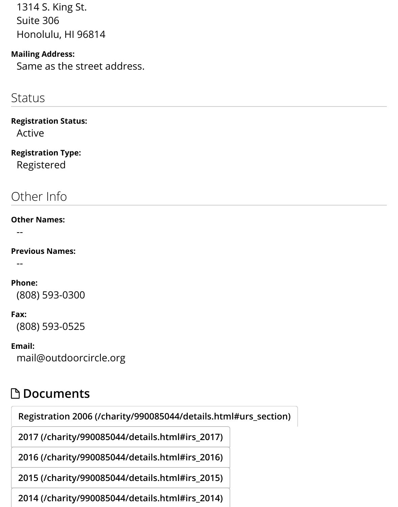#### same as the street additional

### **Status**

#### **Registration Status:**

Active

## **Registration Type:**

Registered

## Other Info

#### **Other Names:**

--

#### **Previous Names:**

--

#### **Phone:**

(808) 593-0300

#### **Fax:**

(808) 593-0525

#### **Email:**

mail@outdoorcircle.org

## " **Documents**

**Registration 2006 (/charity/990085044/details.html#urs\_section)**

**2017 (/charity/990085044/details.html#irs\_2017)**

**2016 (/charity/990085044/details.html#irs\_2016)**

**[2015 \(/charity/990085044/details.html#irs\\_2015\)](#page-2-0)**

**2014 (/charity/990085044/details.html#irs\_2014)**